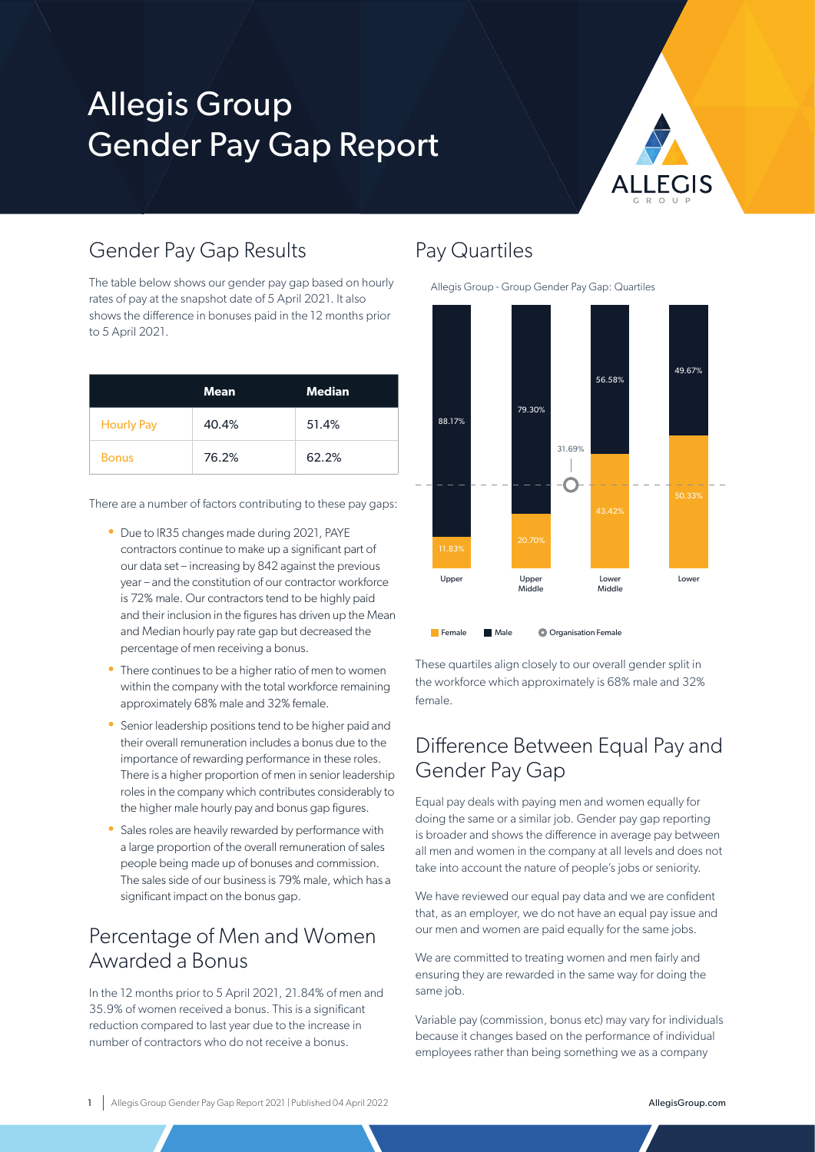# Allegis Group Gender Pay Gap Report



### Gender Pay Gap Results

The table below shows our gender pay gap based on hourly rates of pay at the snapshot date of 5 April 2021. It also shows the difference in bonuses paid in the 12 months prior to 5 April 2021.

|                   | Mean  | <b>Median</b> |
|-------------------|-------|---------------|
| <b>Hourly Pay</b> | 40.4% | 51.4%         |
| <b>Bonus</b>      | 76.2% | 62.2%         |

There are a number of factors contributing to these pay gaps:

- Due to IR35 changes made during 2021, PAYE contractors continue to make up a significant part of our data set – increasing by 842 against the previous year – and the constitution of our contractor workforce is 72% male. Our contractors tend to be highly paid and their inclusion in the figures has driven up the Mean and Median hourly pay rate gap but decreased the percentage of men receiving a bonus.
- There continues to be a higher ratio of men to women within the company with the total workforce remaining approximately 68% male and 32% female.
- Senior leadership positions tend to be higher paid and their overall remuneration includes a bonus due to the importance of rewarding performance in these roles. There is a higher proportion of men in senior leadership roles in the company which contributes considerably to the higher male hourly pay and bonus gap figures.
- Sales roles are heavily rewarded by performance with a large proportion of the overall remuneration of sales people being made up of bonuses and commission. The sales side of our business is 79% male, which has a significant impact on the bonus gap.

## Percentage of Men and Women Awarded a Bonus

In the 12 months prior to 5 April 2021, 21.84% of men and 35.9% of women received a bonus. This is a significant reduction compared to last year due to the increase in number of contractors who do not receive a bonus.

#### Pay Quartiles

Allegis Group - Group Gender Pay Gap: Quartiles



These quartiles align closely to our overall gender split in the workforce which approximately is 68% male and 32% female.

## Difference Between Equal Pay and Gender Pay Gap

Equal pay deals with paying men and women equally for doing the same or a similar job. Gender pay gap reporting is broader and shows the difference in average pay between all men and women in the company at all levels and does not take into account the nature of people's jobs or seniority.

We have reviewed our equal pay data and we are confident that, as an employer, we do not have an equal pay issue and our men and women are paid equally for the same jobs.

We are committed to treating women and men fairly and ensuring they are rewarded in the same way for doing the same job.

Variable pay (commission, bonus etc) may vary for individuals because it changes based on the performance of individual employees rather than being something we as a company